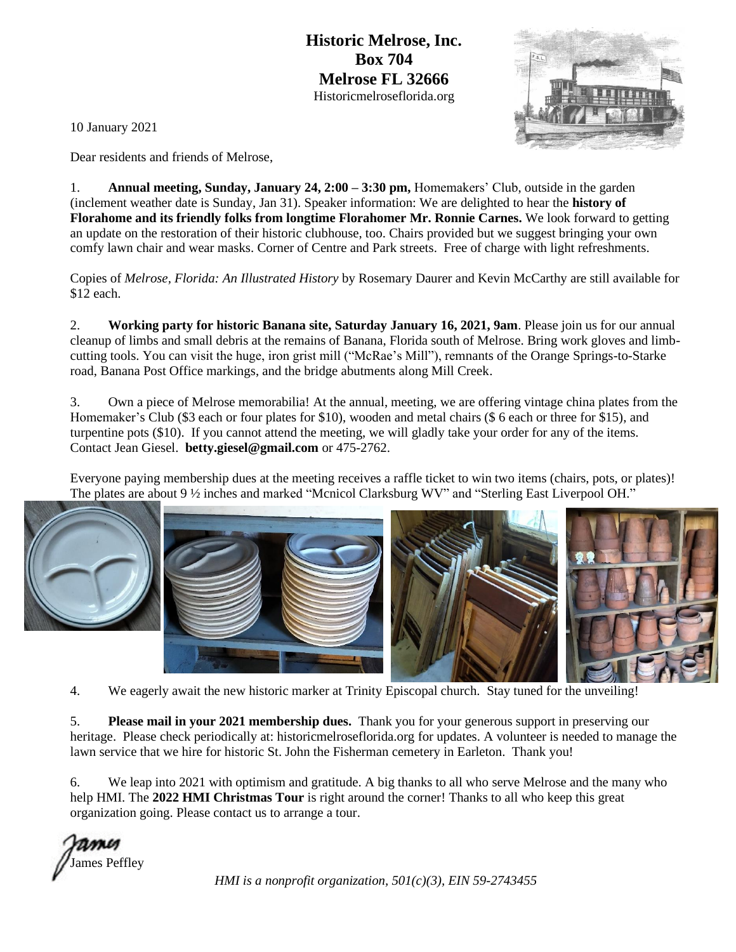**Historic Melrose, Inc. Box 704 Melrose FL 32666** Historicmelroseflorida.org



10 January 2021

Dear residents and friends of Melrose,

1. **Annual meeting, Sunday, January 24, 2:00 – 3:30 pm,** Homemakers' Club, outside in the garden (inclement weather date is Sunday, Jan 31). Speaker information: We are delighted to hear the **history of Florahome and its friendly folks from longtime Florahomer Mr. Ronnie Carnes.** We look forward to getting an update on the restoration of their historic clubhouse, too. Chairs provided but we suggest bringing your own comfy lawn chair and wear masks. Corner of Centre and Park streets. Free of charge with light refreshments.

Copies of *Melrose, Florida: An Illustrated History* by Rosemary Daurer and Kevin McCarthy are still available for \$12 each.

2. **Working party for historic Banana site, Saturday January 16, 2021, 9am**. Please join us for our annual cleanup of limbs and small debris at the remains of Banana, Florida south of Melrose. Bring work gloves and limbcutting tools. You can visit the huge, iron grist mill ("McRae's Mill"), remnants of the Orange Springs-to-Starke road, Banana Post Office markings, and the bridge abutments along Mill Creek.

3. Own a piece of Melrose memorabilia! At the annual, meeting, we are offering vintage china plates from the Homemaker's Club (\$3 each or four plates for \$10), wooden and metal chairs (\$ 6 each or three for \$15), and turpentine pots (\$10). If you cannot attend the meeting, we will gladly take your order for any of the items. Contact Jean Giesel. **betty.giesel@gmail.com** or 475-2762.

Everyone paying membership dues at the meeting receives a raffle ticket to win two items (chairs, pots, or plates)! The plates are about 9 ½ inches and marked "Mcnicol Clarksburg WV" and "Sterling East Liverpool OH."





4. We eagerly await the new historic marker at Trinity Episcopal church. Stay tuned for the unveiling!

5. **Please mail in your 2021 membership dues.** Thank you for your generous support in preserving our heritage. Please check periodically at: historicmelroseflorida.org for updates. A volunteer is needed to manage the lawn service that we hire for historic St. John the Fisherman cemetery in Earleton. Thank you!

6. We leap into 2021 with optimism and gratitude. A big thanks to all who serve Melrose and the many who help HMI. The **2022 HMI Christmas Tour** is right around the corner! Thanks to all who keep this great organization going. Please contact us to arrange a tour.

James Peffley

*HMI is a nonprofit organization, 501(c)(3), EIN 59-2743455*